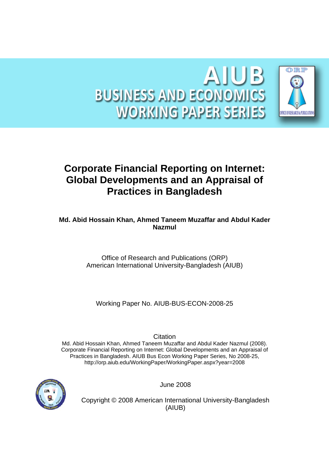

# **Corporate Financial Reporting on Internet: Global Developments and an Appraisal of Practices in Bangladesh**

**Md. Abid Hossain Khan, Ahmed Taneem Muzaffar and Abdul Kader Nazmul** 

> Office of Research and Publications (ORP) American International University-Bangladesh (AIUB)

Working Paper No. AIUB-BUS-ECON-2008-25

**Citation** 

Md. Abid Hossain Khan, Ahmed Taneem Muzaffar and Abdul Kader Nazmul (2008). Corporate Financial Reporting on Internet: Global Developments and an Appraisal of Practices in Bangladesh. AIUB Bus Econ Working Paper Series, No 2008-25, http://orp.aiub.edu/WorkingPaper/WorkingPaper.aspx?year=2008



June 2008

Copyright © 2008 American International University-Bangladesh (AIUB)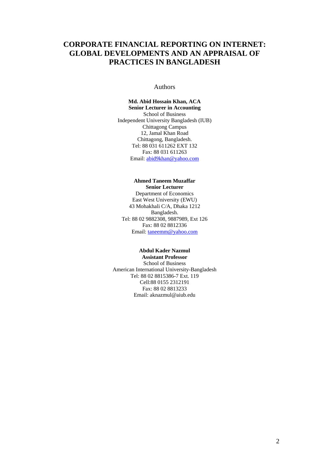## **CORPORATE FINANCIAL REPORTING ON INTERNET: GLOBAL DEVELOPMENTS AND AN APPRAISAL OF PRACTICES IN BANGLADESH**

#### Authors

**Md. Abid Hossain Khan, ACA Senior Lecturer in Accounting**  School of Business Independent University Bangladesh (IUB) Chittagong Campus 12, Jamal Khan Road Chittagong, Bangladesh. Tel: 88 031 611262 EXT 132 Fax: 88 031 611263 Email: abid9khan@yahoo.com

#### **Ahmed Taneem Muzaffar Senior Lecturer**

Department of Economics East West University (EWU) 43 Mohakhali C/A, Dhaka 1212 Bangladesh. Tel: 88 02 9882308, 9887989, Ext 126 Fax: 88 02 8812336 Email: taneemm@yahoo.com

### **Abdul Kader Nazmul**

**Assistant Professor**  School of Business American International University-Bangladesh Tel: 88 02 8815386-7 Ext. 119 Cell:88 0155 2312191 Fax: 88 02 8813233 Email: aknazmul@aiub.edu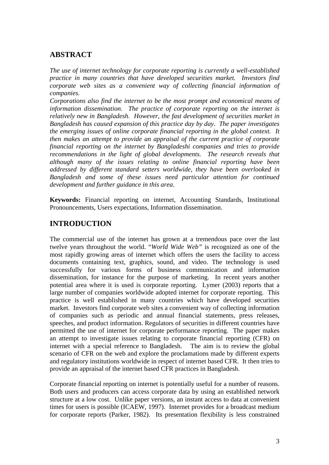## **ABSTRACT**

*The use of internet technology for corporate reporting is currently a well-established practice in many countries that have developed securities market. Investors find corporate web sites as a convenient way of collecting financial information of companies.* 

*Corporations also find the internet to be the most prompt and economical means of information dissemination. The practice of corporate reporting on the internet is relatively new in Bangladesh. However, the fast development of securities market in Bangladesh has caused expansion of this practice day by day. The paper investigates the emerging issues of online corporate financial reporting in the global context. It then makes an attempt to provide an appraisal of the current practice of corporate financial reporting on the internet by Bangladeshi companies and tries to provide recommendations in the light of global developments. The research reveals that although many of the issues relating to online financial reporting have been addressed by different standard setters worldwide, they have been overlooked in Bangladesh and some of these issues need particular attention for continued development and further guidance in this area.*

**Keywords:** Financial reporting on internet, Accounting Standards, Institutional Pronouncements, Users expectations, Information dissemination.

## **INTRODUCTION**

The commercial use of the internet has grown at a tremendous pace over the last twelve years throughout the world. "*World Wide Web"* is recognized as one of the most rapidly growing areas of internet which offers the users the facility to access documents containing text, graphics, sound, and video. The technology is used successfully for various forms of business communication and information dissemination, for instance for the purpose of marketing. In recent years another potential area where it is used is corporate reporting. Lymer (2003) reports that a large number of companies worldwide adopted internet for corporate reporting. This practice is well established in many countries which have developed securities market. Investors find corporate web sites a convenient way of collecting information of companies such as periodic and annual financial statements, press releases, speeches, and product information. Regulators of securities in different countries have permitted the use of internet for corporate performance reporting. The paper makes an attempt to investigate issues relating to corporate financial reporting (CFR) on internet with a special reference to Bangladesh. The aim is to review the global scenario of CFR on the web and explore the proclamations made by different experts and regulatory institutions worldwide in respect of internet based CFR. It then tries to provide an appraisal of the internet based CFR practices in Bangladesh.

Corporate financial reporting on internet is potentially useful for a number of reasons. Both users and producers can access corporate data by using an established network structure at a low cost. Unlike paper versions, an instant access to data at convenient times for users is possible (ICAEW, 1997). Internet provides for a broadcast medium for corporate reports (Parker, 1982). Its presentation flexibility is less constrained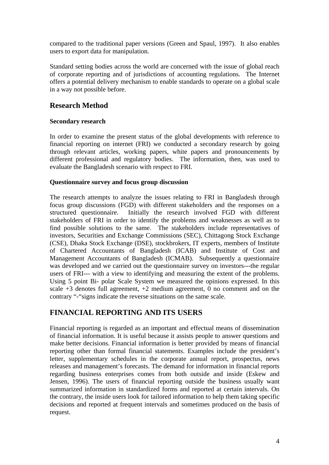compared to the traditional paper versions (Green and Spaul, 1997). It also enables users to export data for manipulation.

Standard setting bodies across the world are concerned with the issue of global reach of corporate reporting and of jurisdictions of accounting regulations. The Internet offers a potential delivery mechanism to enable standards to operate on a global scale in a way not possible before.

## **Research Method**

## **Secondary research**

In order to examine the present status of the global developments with reference to financial reporting on internet (FRI) we conducted a secondary research by going through relevant articles, working papers, white papers and pronouncements by different professional and regulatory bodies. The information, then, was used to evaluate the Bangladesh scenario with respect to FRI.

## **Questionnaire survey and focus group discussion**

The research attempts to analyze the issues relating to FRI in Bangladesh through focus group discussions (FGD) with different stakeholders and the responses on a structured questionnaire. Initially the research involved FGD with different stakeholders of FRI in order to identify the problems and weaknesses as well as to find possible solutions to the same. The stakeholders include representatives of investors, Securities and Exchange Commissions (SEC), Chittagong Stock Exchange (CSE), Dhaka Stock Exchange (DSE), stockbrokers, IT experts, members of Institute of Chartered Accountants of Bangladesh (ICAB) and Institute of Cost and Management Accountants of Bangladesh (ICMAB). Subsequently a questionnaire was developed and we carried out the questionnaire survey on investors---the regular users of FRI--- with a view to identifying and measuring the extent of the problems. Using 5 point Bi- polar Scale System we measured the opinions expressed. In this scale  $+3$  denotes full agreement,  $+2$  medium agreement, 0 no comment and on the contrary "-"signs indicate the reverse situations on the same scale.

## **FINANCIAL REPORTING AND ITS USERS**

Financial reporting is regarded as an important and effectual means of dissemination of financial information. It is useful because it assists people to answer questions and make better decisions. Financial information is better provided by means of financial reporting other than formal financial statements. Examples include the president's letter, supplementary schedules in the corporate annual report, prospectus, news releases and management's forecasts. The demand for information in financial reports regarding business enterprises comes from both outside and inside (Eskew and Jensen, 1996). The users of financial reporting outside the business usually want summarized information in standardized forms and reported at certain intervals. On the contrary, the inside users look for tailored information to help them taking specific decisions and reported at frequent intervals and sometimes produced on the basis of request.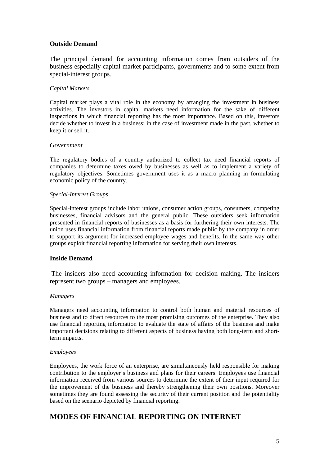### **Outside Demand**

The principal demand for accounting information comes from outsiders of the business especially capital market participants, governments and to some extent from special-interest groups.

#### *Capital Markets*

Capital market plays a vital role in the economy by arranging the investment in business activities. The investors in capital markets need information for the sake of different inspections in which financial reporting has the most importance. Based on this, investors decide whether to invest in a business; in the case of investment made in the past, whether to keep it or sell it.

#### *Government*

The regulatory bodies of a country authorized to collect tax need financial reports of companies to determine taxes owed by businesses as well as to implement a variety of regulatory objectives. Sometimes government uses it as a macro planning in formulating economic policy of the country.

#### *Special-Interest Groups*

Special-interest groups include labor unions, consumer action groups, consumers, competing businesses, financial advisors and the general public. These outsiders seek information presented in financial reports of businesses as a basis for furthering their own interests. The union uses financial information from financial reports made public by the company in order to support its argument for increased employee wages and benefits. In the same way other groups exploit financial reporting information for serving their own interests.

### **Inside Demand**

 The insiders also need accounting information for decision making. The insiders represent two groups – managers and employees.

#### *Managers*

Managers need accounting information to control both human and material resources of business and to direct resources to the most promising outcomes of the enterprise. They also use financial reporting information to evaluate the state of affairs of the business and make important decisions relating to different aspects of business having both long-term and shortterm impacts.

#### *Employees*

Employees, the work force of an enterprise, are simultaneously held responsible for making contribution to the employer's business and plans for their careers. Employees use financial information received from various sources to determine the extent of their input required for the improvement of the business and thereby strengthening their own positions. Moreover sometimes they are found assessing the security of their current position and the potentiality based on the scenario depicted by financial reporting.

## **MODES OF FINANCIAL REPORTING ON INTERNET**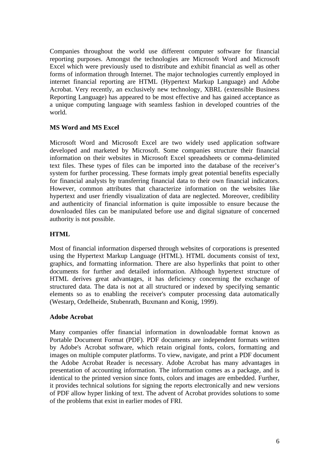Companies throughout the world use different computer software for financial reporting purposes. Amongst the technologies are Microsoft Word and Microsoft Excel which were previously used to distribute and exhibit financial as well as other forms of information through Internet. The major technologies currently employed in internet financial reporting are HTML (Hypertext Markup Language) and Adobe Acrobat. Very recently, an exclusively new technology, XBRL (extensible Business Reporting Language) has appeared to be most effective and has gained acceptance as a unique computing language with seamless fashion in developed countries of the world.

## **MS Word and MS Excel**

Microsoft Word and Microsoft Excel are two widely used application software developed and marketed by Microsoft. Some companies structure their financial information on their websites in Microsoft Excel spreadsheets or comma-delimited text files. These types of files can be imported into the database of the receiver's system for further processing. These formats imply great potential benefits especially for financial analysts by transferring financial data to their own financial indicators. However, common attributes that characterize information on the websites like hypertext and user friendly visualization of data are neglected. Moreover, credibility and authenticity of financial information is quite impossible to ensure because the downloaded files can be manipulated before use and digital signature of concerned authority is not possible.

## **HTML**

Most of financial information dispersed through websites of corporations is presented using the Hypertext Markup Language (HTML). HTML documents consist of text, graphics, and formatting information. There are also hyperlinks that point to other documents for further and detailed information. Although hypertext structure of HTML derives great advantages, it has deficiency concerning the exchange of structured data. The data is not at all structured or indexed by specifying semantic elements so as to enabling the receiver's computer processing data automatically (Westarp, Ordelheide, Stubenrath, Buxmann and Konig, 1999).

## **Adobe Acrobat**

Many companies offer financial information in downloadable format known as Portable Document Format (PDF). PDF documents are independent formats written by Adobe's Acrobat software, which retain original fonts, colors, formatting and images on multiple computer platforms. To view, navigate, and print a PDF document the Adobe Acrobat Reader is necessary. Adobe Acrobat has many advantages in presentation of accounting information. The information comes as a package, and is identical to the printed version since fonts, colors and images are embedded. Further, it provides technical solutions for signing the reports electronically and new versions of PDF allow hyper linking of text. The advent of Acrobat provides solutions to some of the problems that exist in earlier modes of FRI.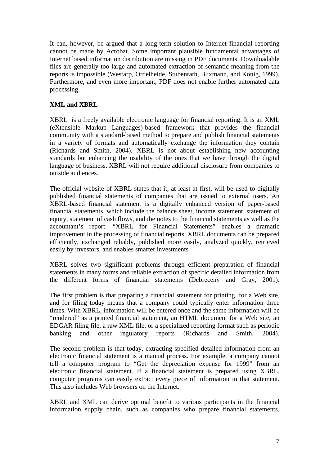It can, however, be argued that a long-term solution to Internet financial reporting cannot be made by Acrobat. Some important plausible fundamental advantages of Internet based information distribution are missing in PDF documents. Downloadable files are generally too large and automated extraction of semantic meaning from the reports is impossible (Westarp, Ordelheide, Stubenrath, Buxmann, and Konig, 1999). Furthermore, and even more important, PDF does not enable further automated data processing.

## **XML and XBRL**

XBRL is a freely available electronic language for financial reporting. It is an XML (eXtensible Markup Languages)-based framework that provides the financial community with a standard-based method to prepare and publish financial statements in a variety of formats and automatically exchange the information they contain (Richards and Smith, 2004). XBRL is not about establishing new accounting standards but enhancing the usability of the ones that we have through the digital language of business. XBRL will not require additional disclosure from companies to outside audiences.

The official website of XBRL states that it, at least at first, will be used to digitally published financial statements of companies that are issued to external users. An XBRL-based financial statement is a digitally enhanced version of paper-based financial statements, which include the balance sheet, income statement, statement of equity, statement of cash flows, and the notes to the financial statements as well as the accountant's report. "XBRL for Financial Statements" enables a dramatic improvement in the processing of financial reports. XBRL documents can be prepared efficiently, exchanged reliably, published more easily, analyzed quickly, retrieved easily by investors, and enables smarter investments

XBRL solves two significant problems through efficient preparation of financial statements in many forms and reliable extraction of specific detailed information from the different forms of financial statements (Debreceny and Gray, 2001).

The first problem is that preparing a financial statement for printing, for a Web site, and for filing today means that a company could typically enter information three times. With XBRL, information will be entered once and the same information will be "rendered" as a printed financial statement, an HTML document for a Web site, an EDGAR filing file, a raw XML file, or a specialized reporting format such as periodic banking and other regulatory reports (Richards and Smith, 2004).

The second problem is that today, extracting specified detailed information from an electronic financial statement is a manual process. For example, a company cannot tell a computer program to "Get the depreciation expense for 1999" from an electronic financial statement. If a financial statement is prepared using XBRL, computer programs can easily extract every piece of information in that statement. This also includes Web browsers on the Internet.

XBRL and XML can derive optimal benefit to various participants in the financial information supply chain, such as companies who prepare financial statements,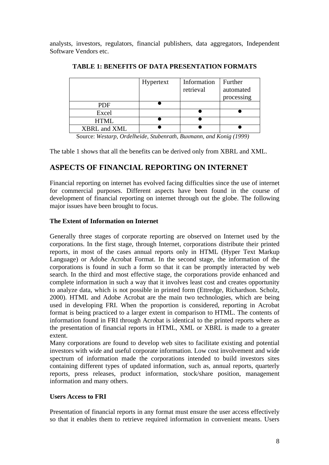analysts, investors, regulators, financial publishers, data aggregators, Independent Software Vendors etc.

|              | Hypertext | Information<br>retrieval | Further<br>automated<br>processing |
|--------------|-----------|--------------------------|------------------------------------|
| <b>PDF</b>   |           |                          |                                    |
| Excel        |           |                          |                                    |
| <b>HTML</b>  |           |                          |                                    |
| XBRL and XML |           |                          |                                    |

**TABLE 1: BENEFITS OF DATA PRESENTATION FORMATS** 

Source: *Westarp, Ordelheide, Stubenrath, Buxmann, and Konig (1999)*

The table 1 shows that all the benefits can be derived only from XBRL and XML.

## **ASPECTS OF FINANCIAL REPORTING ON INTERNET**

Financial reporting on internet has evolved facing difficulties since the use of internet for commercial purposes. Different aspects have been found in the course of development of financial reporting on internet through out the globe. The following major issues have been brought to focus.

## **The Extent of Information on Internet**

Generally three stages of corporate reporting are observed on Internet used by the corporations. In the first stage, through Internet, corporations distribute their printed reports, in most of the cases annual reports only in HTML (Hyper Text Markup Language) or Adobe Acrobat Format. In the second stage, the information of the corporations is found in such a form so that it can be promptly interacted by web search. In the third and most effective stage, the corporations provide enhanced and complete information in such a way that it involves least cost and creates opportunity to analyze data, which is not possible in printed form (Ettredge, Richardson. Scholz, 2000). HTML and Adobe Acrobat are the main two technologies, which are being used in developing FRI. When the proportion is considered, reporting in Acrobat format is being practiced to a larger extent in comparison to HTML. The contents of information found in FRI through Acrobat is identical to the printed reports where as the presentation of financial reports in HTML, XML or XBRL is made to a greater extent.

Many corporations are found to develop web sites to facilitate existing and potential investors with wide and useful corporate information. Low cost involvement and wide spectrum of information made the corporations intended to build investors sites containing different types of updated information, such as, annual reports, quarterly reports, press releases, product information, stock/share position, management information and many others.

## **Users Access to FRI**

Presentation of financial reports in any format must ensure the user access effectively so that it enables them to retrieve required information in convenient means. Users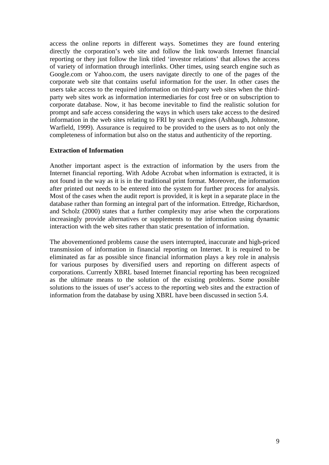access the online reports in different ways. Sometimes they are found entering directly the corporation's web site and follow the link towards Internet financial reporting or they just follow the link titled 'investor relations' that allows the access of variety of information through interlinks. Other times, using search engine such as Google.com or Yahoo.com, the users navigate directly to one of the pages of the corporate web site that contains useful information for the user. In other cases the users take access to the required information on third-party web sites when the thirdparty web sites work as information intermediaries for cost free or on subscription to corporate database. Now, it has become inevitable to find the realistic solution for prompt and safe access considering the ways in which users take access to the desired information in the web sites relating to FRI by search engines (Ashbaugh, Johnstone, Warfield, 1999). Assurance is required to be provided to the users as to not only the completeness of information but also on the status and authenticity of the reporting.

#### **Extraction of Information**

Another important aspect is the extraction of information by the users from the Internet financial reporting. With Adobe Acrobat when information is extracted, it is not found in the way as it is in the traditional print format. Moreover, the information after printed out needs to be entered into the system for further process for analysis. Most of the cases when the audit report is provided, it is kept in a separate place in the database rather than forming an integral part of the information. Ettredge, Richardson, and Scholz (2000) states that a further complexity may arise when the corporations increasingly provide alternatives or supplements to the information using dynamic interaction with the web sites rather than static presentation of information.

The abovementioned problems cause the users interrupted, inaccurate and high-priced transmission of information in financial reporting on Internet. It is required to be eliminated as far as possible since financial information plays a key role in analysis for various purposes by diversified users and reporting on different aspects of corporations. Currently XBRL based Internet financial reporting has been recognized as the ultimate means to the solution of the existing problems. Some possible solutions to the issues of user's access to the reporting web sites and the extraction of information from the database by using XBRL have been discussed in section 5.4.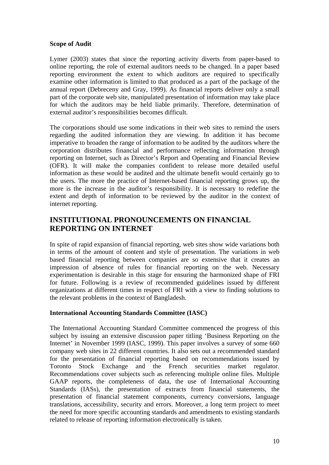### **Scope of Audit**

Lymer (2003) states that since the reporting activity diverts from paper-based to online reporting, the role of external auditors needs to be changed. In a paper based reporting environment the extent to which auditors are required to specifically examine other information is limited to that produced as a part of the package of the annual report (Debreceny and Gray, 1999). As financial reports deliver only a small part of the corporate web site, manipulated presentation of information may take place for which the auditors may be held liable primarily. Therefore, determination of external auditor's responsibilities becomes difficult.

The corporations should use some indications in their web sites to remind the users regarding the audited information they are viewing. In addition it has become imperative to broaden the range of information to be audited by the auditors where the corporation distributes financial and performance reflecting information through reporting on Internet, such as Director's Report and Operating and Financial Review (OFR). It will make the companies confident to release more detailed useful information as these would be audited and the ultimate benefit would certainly go to the users. The more the practice of Internet-based financial reporting grows up, the more is the increase in the auditor's responsibility. It is necessary to redefine the extent and depth of information to be reviewed by the auditor in the context of internet reporting.

## **INSTITUTIONAL PRONOUNCEMENTS ON FINANCIAL REPORTING ON INTERNET**

In spite of rapid expansion of financial reporting, web sites show wide variations both in terms of the amount of content and style of presentation. The variations in web based financial reporting between companies are so extensive that it creates an impression of absence of rules for financial reporting on the web. Necessary experimentation is desirable in this stage for ensuring the harmonized shape of FRI for future. Following is a review of recommended guidelines issued by different organizations at different times in respect of FRI with a view to finding solutions to the relevant problems in the context of Bangladesh.

## **International Accounting Standards Committee (IASC)**

The International Accounting Standard Committee commenced the progress of this subject by issuing an extensive discussion paper titling 'Business Reporting on the Internet' in November 1999 (IASC, 1999). This paper involves a survey of some 660 company web sites in 22 different countries. It also sets out a recommended standard for the presentation of financial reporting based on recommendations issued by Toronto Stock Exchange and the French securities market regulator. Recommendations cover subjects such as referencing multiple online files. Multiple GAAP reports, the completeness of data, the use of International Accounting Standards (IASs), the presentation of extracts from financial statements, the presentation of financial statement components, currency conversions, language translations, accessibility, security and errors. Moreover, a long term project to meet the need for more specific accounting standards and amendments to existing standards related to release of reporting information electronically is taken.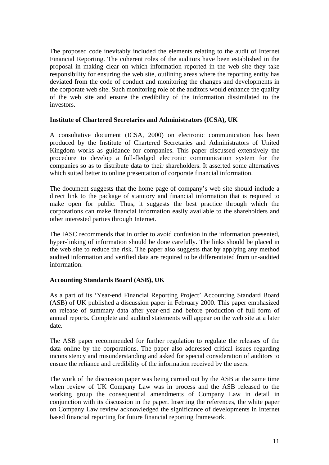The proposed code inevitably included the elements relating to the audit of Internet Financial Reporting. The coherent roles of the auditors have been established in the proposal in making clear on which information reported in the web site they take responsibility for ensuring the web site, outlining areas where the reporting entity has deviated from the code of conduct and monitoring the changes and developments in the corporate web site. Such monitoring role of the auditors would enhance the quality of the web site and ensure the credibility of the information dissimilated to the investors.

## **Institute of Chartered Secretaries and Administrators (ICSA), UK**

A consultative document (ICSA, 2000) on electronic communication has been produced by the Institute of Chartered Secretaries and Administrators of United Kingdom works as guidance for companies. This paper discussed extensively the procedure to develop a full-fledged electronic communication system for the companies so as to distribute data to their shareholders. It asserted some alternatives which suited better to online presentation of corporate financial information.

The document suggests that the home page of company's web site should include a direct link to the package of statutory and financial information that is required to make open for public. Thus, it suggests the best practice through which the corporations can make financial information easily available to the shareholders and other interested parties through Internet.

The IASC recommends that in order to avoid confusion in the information presented, hyper-linking of information should be done carefully. The links should be placed in the web site to reduce the risk. The paper also suggests that by applying any method audited information and verified data are required to be differentiated from un-audited information.

## **Accounting Standards Board (ASB), UK**

As a part of its 'Year-end Financial Reporting Project' Accounting Standard Board (ASB) of UK published a discussion paper in February 2000. This paper emphasized on release of summary data after year-end and before production of full form of annual reports. Complete and audited statements will appear on the web site at a later date.

The ASB paper recommended for further regulation to regulate the releases of the data online by the corporations. The paper also addressed critical issues regarding inconsistency and misunderstanding and asked for special consideration of auditors to ensure the reliance and credibility of the information received by the users.

The work of the discussion paper was being carried out by the ASB at the same time when review of UK Company Law was in process and the ASB released to the working group the consequential amendments of Company Law in detail in conjunction with its discussion in the paper. Inserting the references, the white paper on Company Law review acknowledged the significance of developments in Internet based financial reporting for future financial reporting framework.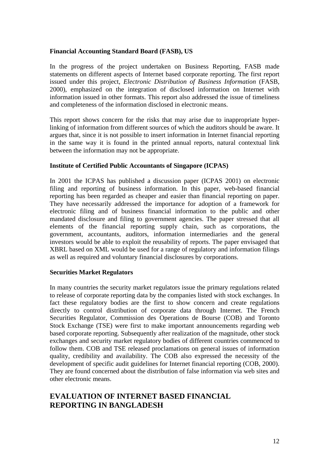### **Financial Accounting Standard Board (FASB), US**

In the progress of the project undertaken on Business Reporting, FASB made statements on different aspects of Internet based corporate reporting. The first report issued under this project, *Electronic Distribution of Business Information* (FASB, 2000), emphasized on the integration of disclosed information on Internet with information issued in other formats. This report also addressed the issue of timeliness and completeness of the information disclosed in electronic means.

This report shows concern for the risks that may arise due to inappropriate hyperlinking of information from different sources of which the auditors should be aware. It argues that, since it is not possible to insert information in Internet financial reporting in the same way it is found in the printed annual reports, natural contextual link between the information may not be appropriate.

#### **Institute of Certified Public Accountants of Singapore (ICPAS)**

In 2001 the ICPAS has published a discussion paper (ICPAS 2001) on electronic filing and reporting of business information. In this paper, web-based financial reporting has been regarded as cheaper and easier than financial reporting on paper. They have necessarily addressed the importance for adoption of a framework for electronic filing and of business financial information to the public and other mandated disclosure and filing to government agencies. The paper stressed that all elements of the financial reporting supply chain, such as corporations, the government, accountants, auditors, information intermediaries and the general investors would be able to exploit the reusability of reports. The paper envisaged that XBRL based on XML would be used for a range of regulatory and information filings as well as required and voluntary financial disclosures by corporations.

### **Securities Market Regulators**

In many countries the security market regulators issue the primary regulations related to release of corporate reporting data by the companies listed with stock exchanges. In fact these regulatory bodies are the first to show concern and create regulations directly to control distribution of corporate data through Internet. The French Securities Regulator, Commission des Operations de Bourse (COB) and Toronto Stock Exchange (TSE) were first to make important announcements regarding web based corporate reporting. Subsequently after realization of the magnitude, other stock exchanges and security market regulatory bodies of different countries commenced to follow them. COB and TSE released proclamations on general issues of information quality, credibility and availability. The COB also expressed the necessity of the development of specific audit guidelines for Internet financial reporting (COB, 2000). They are found concerned about the distribution of false information via web sites and other electronic means.

## **EVALUATION OF INTERNET BASED FINANCIAL REPORTING IN BANGLADESH**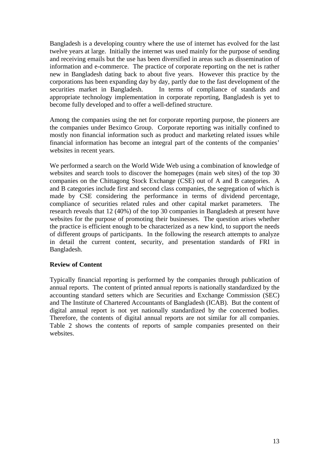Bangladesh is a developing country where the use of internet has evolved for the last twelve years at large. Initially the internet was used mainly for the purpose of sending and receiving emails but the use has been diversified in areas such as dissemination of information and e-commerce. The practice of corporate reporting on the net is rather new in Bangladesh dating back to about five years. However this practice by the corporations has been expanding day by day, partly due to the fast development of the securities market in Bangladesh. In terms of compliance of standards and appropriate technology implementation in corporate reporting, Bangladesh is yet to become fully developed and to offer a well-defined structure.

Among the companies using the net for corporate reporting purpose, the pioneers are the companies under Beximco Group. Corporate reporting was initially confined to mostly non financial information such as product and marketing related issues while financial information has become an integral part of the contents of the companies' websites in recent years.

We performed a search on the World Wide Web using a combination of knowledge of websites and search tools to discover the homepages (main web sites) of the top 30 companies on the Chittagong Stock Exchange (CSE) out of A and B categories. A and B categories include first and second class companies, the segregation of which is made by CSE considering the performance in terms of dividend percentage, compliance of securities related rules and other capital market parameters. The research reveals that 12 (40%) of the top 30 companies in Bangladesh at present have websites for the purpose of promoting their businesses. The question arises whether the practice is efficient enough to be characterized as a new kind, to support the needs of different groups of participants. In the following the research attempts to analyze in detail the current content, security, and presentation standards of FRI in Bangladesh.

### **Review of Content**

Typically financial reporting is performed by the companies through publication of annual reports. The content of printed annual reports is nationally standardized by the accounting standard setters which are Securities and Exchange Commission (SEC) and The Institute of Chartered Accountants of Bangladesh (ICAB). But the content of digital annual report is not yet nationally standardized by the concerned bodies. Therefore, the contents of digital annual reports are not similar for all companies. Table 2 shows the contents of reports of sample companies presented on their websites.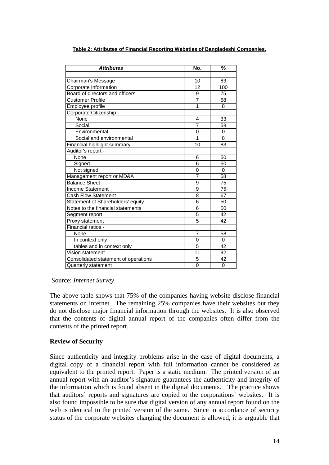| <b>Attributes</b>                    | No.             | 多ん       |
|--------------------------------------|-----------------|----------|
|                                      |                 |          |
| Chairman's Message                   | 10              | 83       |
| Corporate Information                | $\overline{12}$ | 100      |
| Board of directors and officers      | 9               | 75       |
| <b>Customer Profile</b>              | $\overline{7}$  | 58       |
| Employee profile                     | 1               | 8        |
| Corporate Citizenship -              |                 |          |
| None                                 | 4               | 33       |
| Social                               | 7               | 58       |
| Environmental                        | $\Omega$        | $\Omega$ |
| Social and environmental             | 1               | 8        |
| Financial highlight summary          | 10              | 83       |
| Auditor's report -                   |                 |          |
| None                                 | 6               | 50       |
| Signed                               | 6               | 50       |
| Not signed                           | 0               | 0        |
| Management report or MD&A            | $\overline{7}$  | 58       |
| <b>Balance Sheet</b>                 | 9               | 75       |
| <b>Income Statement</b>              | 9               | 75       |
| <b>Cash Flow Statement</b>           | 8               | 67       |
| Statement of Shareholders' equity    | $\overline{6}$  | 50       |
| Notes to the financial statements    | 6               | 50       |
| Segment report                       | 5               | 42       |
| Proxy statement                      | $\overline{5}$  | 42       |
| Financial ratios -                   |                 |          |
| None                                 | $\overline{7}$  | 58       |
| In context only                      | 0               | 0        |
| tables and in context only           | 5               | 42       |
| Vision statement                     | 11              | 92       |
| Consolidated statement of operations | 5               | 42       |
| Quarterly statement                  | $\Omega$        | 0        |

**Table 2: Attributes of Financial Reporting Websties of Bangladeshi Companies.**

### Source: *Internet Survey*

The above table shows that 75% of the companies having website disclose financial statements on internet. The remaining 25% companies have their websites but they do not disclose major financial information through the websites. It is also observed that the contents of digital annual report of the companies often differ from the contents of the printed report.

## **Review of Security**

Since authenticity and integrity problems arise in the case of digital documents, a digital copy of a financial report with full information cannot be considered as equivalent to the printed report. Paper is a static medium. The printed version of an annual report with an auditor's signature guarantees the authenticity and integrity of the information which is found absent in the digital documents. The practice shows that auditors' reports and signatures are copied to the corporations' websites. It is also found impossible to be sure that digital version of any annual report found on the web is identical to the printed version of the same. Since in accordance of security status of the corporate websites changing the document is allowed, it is arguable that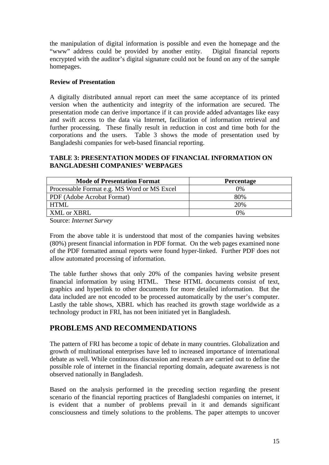the manipulation of digital information is possible and even the homepage and the "www" address could be provided by another entity. Digital financial reports encrypted with the auditor's digital signature could not be found on any of the sample homepages.

## **Review of Presentation**

A digitally distributed annual report can meet the same acceptance of its printed version when the authenticity and integrity of the information are secured. The presentation mode can derive importance if it can provide added advantages like easy and swift access to the data via Internet, facilitation of information retrieval and further processing. These finally result in reduction in cost and time both for the corporations and the users. Table 3 shows the mode of presentation used by Bangladeshi companies for web-based financial reporting.

## **TABLE 3: PRESENTATION MODES OF FINANCIAL INFORMATION ON BANGLADESHI COMPANIES' WEBPAGES**

| <b>Mode of Presentation Format</b>          | <b>Percentage</b> |  |
|---------------------------------------------|-------------------|--|
| Processable Format e.g. MS Word or MS Excel | $0\%$             |  |
| PDF (Adobe Acrobat Format)                  | 80%               |  |
| HTML                                        | 20%               |  |
| XML or XBRL                                 | 0%                |  |

Source: *Internet Survey*

From the above table it is understood that most of the companies having websites (80%) present financial information in PDF format. On the web pages examined none of the PDF formatted annual reports were found hyper-linked. Further PDF does not allow automated processing of information.

The table further shows that only 20% of the companies having website present financial information by using HTML. These HTML documents consist of text, graphics and hyperlink to other documents for more detailed information. But the data included are not encoded to be processed automatically by the user's computer. Lastly the table shows, XBRL which has reached its growth stage worldwide as a technology product in FRI, has not been initiated yet in Bangladesh.

## **PROBLEMS AND RECOMMENDATIONS**

The pattern of FRI has become a topic of debate in many countries. Globalization and growth of multinational enterprises have led to increased importance of international debate as well. While continuous discussion and research are carried out to define the possible role of internet in the financial reporting domain, adequate awareness is not observed nationally in Bangladesh.

Based on the analysis performed in the preceding section regarding the present scenario of the financial reporting practices of Bangladeshi companies on internet, it is evident that a number of problems prevail in it and demands significant consciousness and timely solutions to the problems. The paper attempts to uncover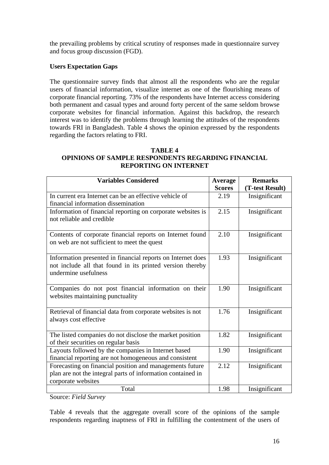the prevailing problems by critical scrutiny of responses made in questionnaire survey and focus group discussion (FGD).

## **Users Expectation Gaps**

The questionnaire survey finds that almost all the respondents who are the regular users of financial information, visualize internet as one of the flourishing means of corporate financial reporting. 73% of the respondents have Internet access considering both permanent and casual types and around forty percent of the same seldom browse corporate websites for financial information. Against this backdrop, the research interest was to identify the problems through learning the attitudes of the respondents towards FRI in Bangladesh. Table 4 shows the opinion expressed by the respondents regarding the factors relating to FRI.

### **TABLE 4 OPINIONS OF SAMPLE RESPONDENTS REGARDING FINANCIAL REPORTING ON INTERNET**

| <b>Variables Considered</b>                                                                                                                      | <b>Average</b><br><b>Scores</b> | <b>Remarks</b><br>(T-test Result) |
|--------------------------------------------------------------------------------------------------------------------------------------------------|---------------------------------|-----------------------------------|
| In current era Internet can be an effective vehicle of<br>financial information dissemination                                                    | 2.19                            | Insignificant                     |
| Information of financial reporting on corporate websites is<br>not reliable and credible                                                         | 2.15                            | Insignificant                     |
| Contents of corporate financial reports on Internet found<br>on web are not sufficient to meet the quest                                         | 2.10                            | Insignificant                     |
| Information presented in financial reports on Internet does<br>not include all that found in its printed version thereby<br>undermine usefulness | 1.93                            | Insignificant                     |
| Companies do not post financial information on their<br>websites maintaining punctuality                                                         | 1.90                            | Insignificant                     |
| Retrieval of financial data from corporate websites is not<br>always cost effective                                                              | 1.76                            | Insignificant                     |
| The listed companies do not disclose the market position<br>of their securities on regular basis                                                 | 1.82                            | Insignificant                     |
| Layouts followed by the companies in Internet based<br>financial reporting are not homogeneous and consistent                                    | 1.90                            | Insignificant                     |
| Forecasting on financial position and managements future<br>plan are not the integral parts of information contained in<br>corporate websites    | 2.12                            | Insignificant                     |
| Total                                                                                                                                            | 1.98                            | Insignificant                     |

Source: *Field Survey*

Table 4 reveals that the aggregate overall score of the opinions of the sample respondents regarding inaptness of FRI in fulfilling the contentment of the users of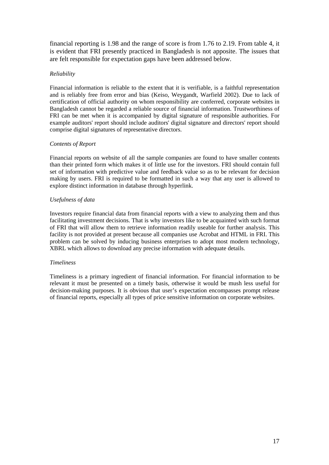financial reporting is 1.98 and the range of score is from 1.76 to 2.19. From table 4, it is evident that FRI presently practiced in Bangladesh is not apposite. The issues that are felt responsible for expectation gaps have been addressed below.

#### *Reliability*

Financial information is reliable to the extent that it is verifiable, is a faithful representation and is reliably free from error and bias (Keiso, Weygandt, Warfield 2002). Due to lack of certification of official authority on whom responsibility are conferred, corporate websites in Bangladesh cannot be regarded a reliable source of financial information. Trustworthiness of FRI can be met when it is accompanied by digital signature of responsible authorities. For example auditors' report should include auditors' digital signature and directors' report should comprise digital signatures of representative directors.

#### *Contents of Report*

Financial reports on website of all the sample companies are found to have smaller contents than their printed form which makes it of little use for the investors. FRI should contain full set of information with predictive value and feedback value so as to be relevant for decision making by users. FRI is required to be formatted in such a way that any user is allowed to explore distinct information in database through hyperlink.

#### *Usefulness of data*

Investors require financial data from financial reports with a view to analyzing them and thus facilitating investment decisions. That is why investors like to be acquainted with such format of FRI that will allow them to retrieve information readily useable for further analysis. This facility is not provided at present because all companies use Acrobat and HTML in FRI. This problem can be solved by inducing business enterprises to adopt most modern technology, XBRL which allows to download any precise information with adequate details.

#### *Timeliness*

Timeliness is a primary ingredient of financial information. For financial information to be relevant it must be presented on a timely basis, otherwise it would be mush less useful for decision-making purposes. It is obvious that user's expectation encompasses prompt release of financial reports, especially all types of price sensitive information on corporate websites.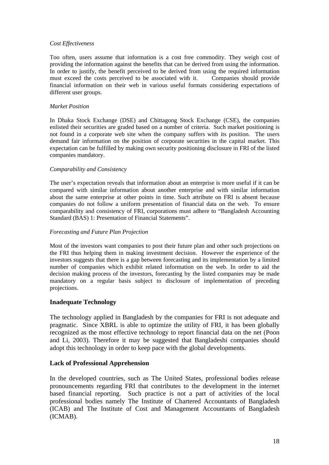#### *Cost Effectiveness*

Too often, users assume that information is a cost free commodity. They weigh cost of providing the information against the benefits that can be derived from using the information. In order to justify, the benefit perceived to be derived from using the required information must exceed the costs perceived to be associated with it. Companies should provide financial information on their web in various useful formats considering expectations of different user groups.

### *Market Position*

In Dhaka Stock Exchange (DSE) and Chittagong Stock Exchange (CSE), the companies enlisted their securities are graded based on a number of criteria. Such market positioning is not found in a corporate web site when the company suffers with its position. The users demand fair information on the position of corporate securities in the capital market. This expectation can be fulfilled by making own security positioning disclosure in FRI of the listed companies mandatory.

#### *Comparability and Consistency*

The user's expectation reveals that information about an enterprise is more useful if it can be compared with similar information about another enterprise and with similar information about the same enterprise at other points in time. Such attribute on FRI is absent because companies do not follow a uniform presentation of financial data on the web. To ensure comparability and consistency of FRI, corporations must adhere to "Bangladesh Accounting Standard (BAS) 1: Presentation of Financial Statements".

### *Forecasting and Future Plan Projection*

Most of the investors want companies to post their future plan and other such projections on the FRI thus helping them in making investment decision. However the experience of the investors suggests that there is a gap between forecasting and its implementation by a limited number of companies which exhibit related information on the web. In order to aid the decision making process of the investors, forecasting by the listed companies may be made mandatory on a regular basis subject to disclosure of implementation of preceding projections.

### **Inadequate Technology**

The technology applied in Bangladesh by the companies for FRI is not adequate and pragmatic. Since XBRL is able to optimize the utility of FRI, it has been globally recognized as the most effective technology to report financial data on the net (Poon and Li, 2003). Therefore it may be suggested that Bangladeshi companies should adopt this technology in order to keep pace with the global developments.

### **Lack of Professional Apprehension**

In the developed countries, such as The United States, professional bodies release pronouncements regarding FRI that contributes to the development in the internet based financial reporting. Such practice is not a part of activities of the local professional bodies namely The Institute of Chartered Accountants of Bangladesh (ICAB) and The Institute of Cost and Management Accountants of Bangladesh (ICMAB).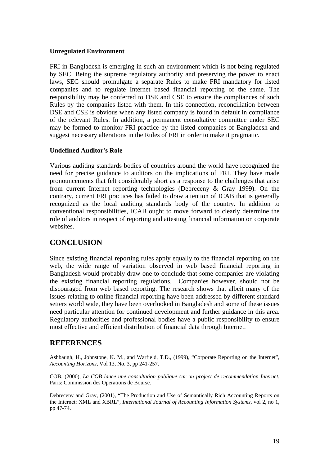#### **Unregulated Environment**

FRI in Bangladesh is emerging in such an environment which is not being regulated by SEC. Being the supreme regulatory authority and preserving the power to enact laws, SEC should promulgate a separate Rules to make FRI mandatory for listed companies and to regulate Internet based financial reporting of the same. The responsibility may be conferred to DSE and CSE to ensure the compliances of such Rules by the companies listed with them. In this connection, reconciliation between DSE and CSE is obvious when any listed company is found in default in compliance of the relevant Rules. In addition, a permanent consultative committee under SEC may be formed to monitor FRI practice by the listed companies of Bangladesh and suggest necessary alterations in the Rules of FRI in order to make it pragmatic.

#### **Undefined Auditor's Role**

Various auditing standards bodies of countries around the world have recognized the need for precise guidance to auditors on the implications of FRI. They have made pronouncements that felt considerably short as a response to the challenges that arise from current Internet reporting technologies (Debreceny & Gray 1999). On the contrary, current FRI practices has failed to draw attention of ICAB that is generally recognized as the local auditing standards body of the country. In addition to conventional responsibilities, ICAB ought to move forward to clearly determine the role of auditors in respect of reporting and attesting financial information on corporate websites.

## **CONCLUSION**

Since existing financial reporting rules apply equally to the financial reporting on the web, the wide range of variation observed in web based financial reporting in Bangladesh would probably draw one to conclude that some companies are violating the existing financial reporting regulations. Companies however, should not be discouraged from web based reporting. The research shows that albeit many of the issues relating to online financial reporting have been addressed by different standard setters world wide, they have been overlooked in Bangladesh and some of these issues need particular attention for continued development and further guidance in this area. Regulatory authorities and professional bodies have a public responsibility to ensure most effective and efficient distribution of financial data through Internet.

## **REFERENCES**

Ashbaugh, H., Johnstone, K. M., and Warfield, T.D., (1999), "Corporate Reporting on the Internet", *Accounting Horizons,* Vol 13, No. 3, pp 241-257.

COB, (2000), *La COB lance une consultation publique sur un project de recommendation Internet.*  Paris: Commission des Operations de Bourse.

Debreceny and Gray, (2001), "The Production and Use of Semantically Rich Accounting Reports on the Internet: XML and XBRL", *International Journal of Accounting Information Systems,* vol 2, no 1, pp 47-74.